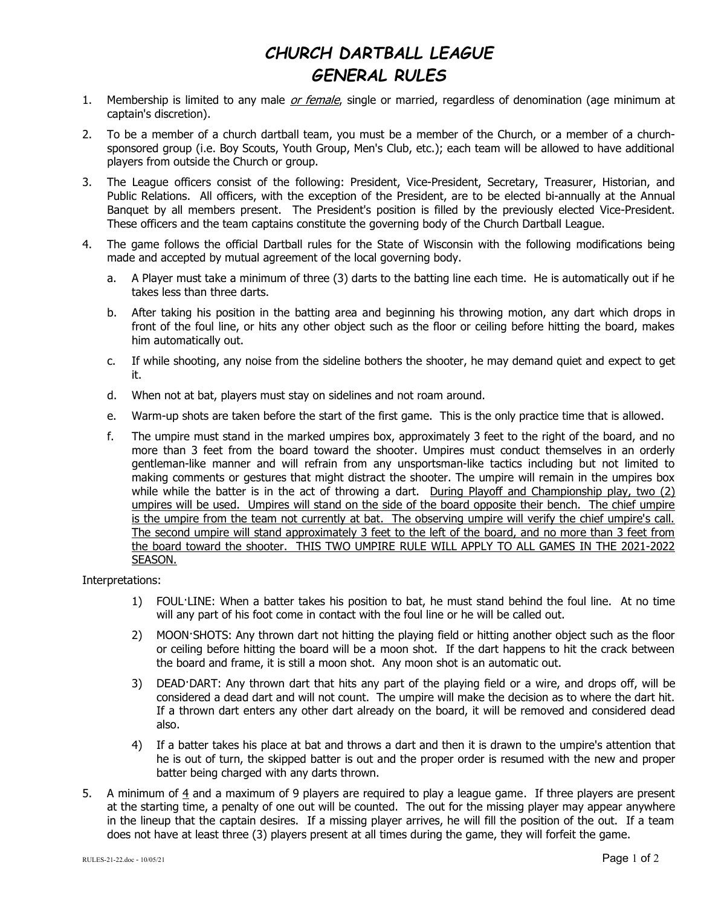## CHURCH DARTBALL LEAGUE GENERAL RULES

- 1. Membership is limited to any male *or female*, single or married, regardless of denomination (age minimum at captain's discretion).
- 2. To be a member of a church dartball team, you must be a member of the Church, or a member of a churchsponsored group (i.e. Boy Scouts, Youth Group, Men's Club, etc.); each team will be allowed to have additional players from outside the Church or group.
- 3. The League officers consist of the following: President, Vice-President, Secretary, Treasurer, Historian, and Public Relations. All officers, with the exception of the President, are to be elected bi-annually at the Annual Banquet by all members present. The President's position is filled by the previously elected Vice-President. These officers and the team captains constitute the governing body of the Church Dartball League.
- 4. The game follows the official Dartball rules for the State of Wisconsin with the following modifications being made and accepted by mutual agreement of the local governing body.
	- a. A Player must take a minimum of three (3) darts to the batting line each time. He is automatically out if he takes less than three darts.
	- b. After taking his position in the batting area and beginning his throwing motion, any dart which drops in front of the foul line, or hits any other object such as the floor or ceiling before hitting the board, makes him automatically out.
	- c. If while shooting, any noise from the sideline bothers the shooter, he may demand quiet and expect to get it.
	- d. When not at bat, players must stay on sidelines and not roam around.
	- e. Warm-up shots are taken before the start of the first game. This is the only practice time that is allowed.
	- f. The umpire must stand in the marked umpires box, approximately 3 feet to the right of the board, and no more than 3 feet from the board toward the shooter. Umpires must conduct themselves in an orderly gentleman-like manner and will refrain from any unsportsman-like tactics including but not limited to making comments or gestures that might distract the shooter. The umpire will remain in the umpires box while while the batter is in the act of throwing a dart. During Playoff and Championship play, two (2) umpires will be used. Umpires will stand on the side of the board opposite their bench. The chief umpire is the umpire from the team not currently at bat. The observing umpire will verify the chief umpire's call. The second umpire will stand approximately 3 feet to the left of the board, and no more than 3 feet from the board toward the shooter. THIS TWO UMPIRE RULE WILL APPLY TO ALL GAMES IN THE 2021-2022 SEASON.

Interpretations:

- 1) FOUL·LINE: When a batter takes his position to bat, he must stand behind the foul line. At no time will any part of his foot come in contact with the foul line or he will be called out.
- 2) MOON·SHOTS: Any thrown dart not hitting the playing field or hitting another object such as the floor or ceiling before hitting the board will be a moon shot. If the dart happens to hit the crack between the board and frame, it is still a moon shot. Any moon shot is an automatic out.
- 3) DEAD·DART: Any thrown dart that hits any part of the playing field or a wire, and drops off, will be considered a dead dart and will not count. The umpire will make the decision as to where the dart hit. If a thrown dart enters any other dart already on the board, it will be removed and considered dead also.
- 4) If a batter takes his place at bat and throws a dart and then it is drawn to the umpire's attention that he is out of turn, the skipped batter is out and the proper order is resumed with the new and proper batter being charged with any darts thrown.
- 5. A minimum of  $\frac{4}{3}$  and a maximum of 9 players are required to play a league game. If three players are present at the starting time, a penalty of one out will be counted. The out for the missing player may appear anywhere in the lineup that the captain desires. If a missing player arrives, he will fill the position of the out. If a team does not have at least three (3) players present at all times during the game, they will forfeit the game.